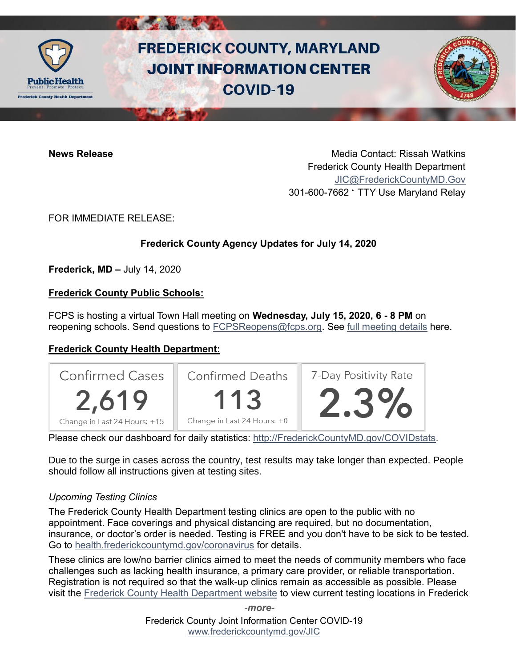

# **FREDERICK COUNTY, MARYLAND JOINT INFORMATION CENTER COVID-19**

**News Release** Media Contact: Rissah Watkins Frederick County Health Department [JIC@FrederickCountyMD.Gov](mailto:JIC@FrederickCountyMD.Gov) 301-600-7662 • TTY Use Maryland Relay

FOR IMMEDIATE RELEASE:

# **Frederick County Agency Updates for July 14, 2020**

**Frederick, MD –** July 14, 2020

## **Frederick County Public Schools:**

FCPS is hosting a virtual Town Hall meeting on **Wednesday, July 15, 2020, 6 - 8 PM** on reopening schools. Send questions to **FCPSReopens@fcps.org**. See [full meeting details](https://www.fcps.org/about/news/1684494/fcps-to-host-town-hall-on-reopening-schools) here.

# **Frederick County Health Department:**



Please check our dashboard for daily statistics: [http://FrederickCountyMD.gov/COVIDstats.](http://frederickcountymd.gov/COVIDstats)

Due to the surge in cases across the country, test results may take longer than expected. People should follow all instructions given at testing sites.

#### *Upcoming Testing Clinics*

The Frederick County Health Department testing clinics are open to the public with no appointment. Face coverings and physical distancing are required, but no documentation, insurance, or doctor's order is needed. Testing is FREE and you don't have to be sick to be tested. Go to [health.frederickcountymd.gov/coronavirus](https://health.frederickcountymd.gov/614/Novel-Coronavirus-COVID-19) for details.

These clinics are low/no barrier clinics aimed to meet the needs of community members who face challenges such as lacking health insurance, a primary care provider, or reliable transportation. Registration is not required so that the walk-up clinics remain as accessible as possible. Please visit the [Frederick County Health Department website](https://health.frederickcountymd.gov/614/Novel-Coronavirus-COVID-19) to view current testing locations in Frederick

> Frederick County Joint Information Center COVID-19 [www.frederickcountymd.gov/JIC](https://frederickcountymd.gov/JIC) *-more-*